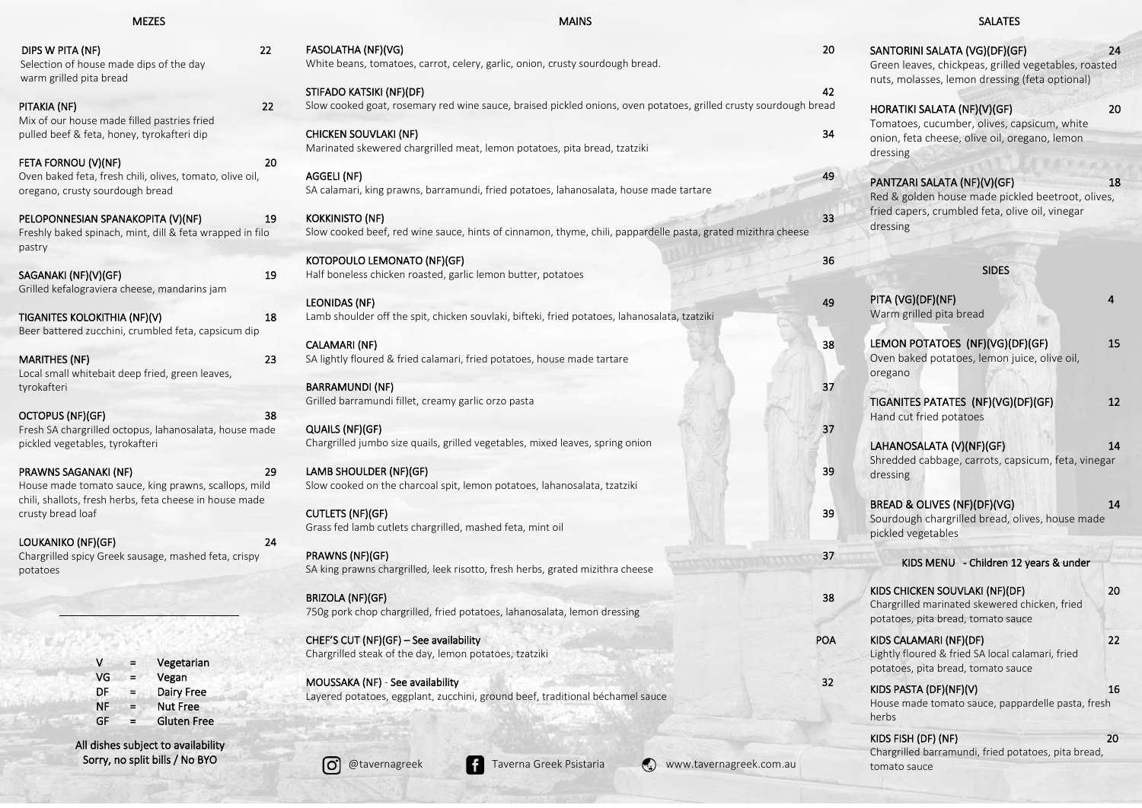| MEZES |  |
|-------|--|
|-------|--|

- V = Vegetarian
- VG = Vegan
- DF = Dairy Free<br>NF = Nut Free
- $NF =$  Nut Free<br>GF = Gluten Free
- = Gluten Free
- All dishes subject to availability Sorry, no split bills / No BYO

| <b>MEZES</b>                                                                                                    |    | <b>MAINS</b>                                                                                                     |            |
|-----------------------------------------------------------------------------------------------------------------|----|------------------------------------------------------------------------------------------------------------------|------------|
| DIPS W PITA (NF)<br>Selection of house made dips of the day<br>warm grilled pita bread                          | 22 | FASOLATHA (NF)(VG)<br>White beans, tomatoes, carrot, celery, garlic, onion, crusty sourdough bread.              | 20         |
|                                                                                                                 |    | STIFADO KATSIKI (NF)(DF)                                                                                         | 42         |
| PITAKIA (NF)                                                                                                    | 22 | Slow cooked goat, rosemary red wine sauce, braised pickled onions, oven potatoes, grilled crusty sourdough bread |            |
| Mix of our house made filled pastries fried                                                                     |    |                                                                                                                  |            |
| pulled beef & feta, honey, tyrokafteri dip                                                                      |    | <b>CHICKEN SOUVLAKI (NF)</b><br>Marinated skewered chargrilled meat, lemon potatoes, pita bread, tzatziki        | 34         |
| FETA FORNOU (V)(NF)                                                                                             | 20 |                                                                                                                  |            |
| Oven baked feta, fresh chili, olives, tomato, olive oil,<br>oregano, crusty sourdough bread                     |    | AGGELI (NF)<br>SA calamari, king prawns, barramundi, fried potatoes, lahanosalata, house made tartare            | 49         |
| PELOPONNESIAN SPANAKOPITA (V)(NF)                                                                               | 19 | <b>KOKKINISTO (NF)</b>                                                                                           | 33         |
| Freshly baked spinach, mint, dill & feta wrapped in filo<br>pastry                                              |    | Slow cooked beef, red wine sauce, hints of cinnamon, thyme, chili, pappardelle pasta, grated mizithra cheese     |            |
|                                                                                                                 |    | KOTOPOULO LEMONATO (NF)(GF)                                                                                      | 36         |
| SAGANAKI (NF)(V)(GF)<br>Grilled kefalograviera cheese, mandarins jam                                            | 19 | Half boneless chicken roasted, garlic lemon butter, potatoes                                                     |            |
|                                                                                                                 |    | <b>LEONIDAS (NF)</b>                                                                                             | 49         |
| TIGANITES KOLOKITHIA (NF)(V)<br>Beer battered zucchini, crumbled feta, capsicum dip                             | 18 | Lamb shoulder off the spit, chicken souvlaki, bifteki, fried potatoes, lahanosalata, tzatziki                    |            |
|                                                                                                                 |    | <b>CALAMARI (NF)</b>                                                                                             | 38         |
| <b>MARITHES (NF)</b>                                                                                            | 23 | SA lightly floured & fried calamari, fried potatoes, house made tartare                                          |            |
| Local small whitebait deep fried, green leaves,<br>tyrokafteri                                                  |    | <b>BARRAMUNDI (NF)</b>                                                                                           | 37         |
|                                                                                                                 |    | Grilled barramundi fillet, creamy garlic orzo pasta                                                              |            |
| OCTOPUS (NF)(GF)                                                                                                | 38 |                                                                                                                  |            |
| Fresh SA chargrilled octopus, lahanosalata, house made                                                          |    | QUAILS (NF)(GF)                                                                                                  | 37         |
| pickled vegetables, tyrokafteri                                                                                 |    | Chargrilled jumbo size quails, grilled vegetables, mixed leaves, spring onion                                    |            |
| PRAWNS SAGANAKI (NF)                                                                                            | 29 | LAMB SHOULDER (NF)(GF)                                                                                           | 39         |
| House made tomato sauce, king prawns, scallops, mild<br>chili, shallots, fresh herbs, feta cheese in house made |    | Slow cooked on the charcoal spit, lemon potatoes, lahanosalata, tzatziki                                         |            |
| crusty bread loaf                                                                                               |    | <b>CUTLETS (NF)(GF)</b>                                                                                          | 39         |
|                                                                                                                 |    | Grass fed lamb cutlets chargrilled, mashed feta, mint oil                                                        |            |
| LOUKANIKO (NF)(GF)                                                                                              | 24 |                                                                                                                  |            |
| Chargrilled spicy Greek sausage, mashed feta, crispy                                                            |    | PRAWNS (NF)(GF)                                                                                                  | 37         |
| potatoes                                                                                                        |    | SA king prawns chargrilled, leek risotto, fresh herbs, grated mizithra cheese                                    |            |
|                                                                                                                 |    | <b>BRIZOLA (NF)(GF)</b>                                                                                          | 38         |
|                                                                                                                 |    | 750g pork chop chargrilled, fried potatoes, lahanosalata, lemon dressing                                         |            |
|                                                                                                                 |    | CHEF'S CUT (NF)(GF) - See availability                                                                           | <b>POA</b> |
|                                                                                                                 |    | Chargrilled steak of the day, lemon potatoes, tzatziki                                                           |            |

| SANTORINI SALATA (VG)(DF)(GF)<br>Green leaves, chickpeas, grilled vegetables, roasted<br>nuts, molasses, lemon dressing (feta optional)         | 24 |
|-------------------------------------------------------------------------------------------------------------------------------------------------|----|
| HORATIKI SALATA (NF)(V)(GF)<br>Tomatoes, cucumber, olives, capsicum, white<br>onion, feta cheese, olive oil, oregano, lemon<br>dressing         | 20 |
| PANTZARI SALATA (NF)(V)(GF)<br>Red & golden house made pickled beetroot, olives,<br>fried capers, crumbled feta, olive oil, vinegar<br>dressing | 18 |
| <b>SIDES</b>                                                                                                                                    |    |
| PITA (VG)(DF)(NF)<br>Warm grilled pita bread                                                                                                    | 4  |
| LEMON POTATOES (NF)(VG)(DF)(GF)<br>Oven baked potatoes, lemon juice, olive oil,<br>oregano                                                      | 15 |
| TIGANITES PATATES (NF)(VG)(DF)(GF)<br>Hand cut fried potatoes                                                                                   | 12 |
| LAHANOSALATA (V)(NF)(GF)<br>Shredded cabbage, carrots, capsicum, feta, vinegar<br>dressing                                                      | 14 |
| BREAD & OLIVES (NF)(DF)(VG)<br>Sourdough chargrilled bread, olives, house made<br>pickled vegetables                                            | 14 |
| KIDS MENU - Children 12 years & under                                                                                                           |    |
| KIDS CHICKEN SOUVLAKI (NF)(DF)<br>Chargrilled marinated skewered chicken, fried<br>potatoes, pita bread, tomato sauce                           | 20 |
| KIDS CALAMARI (NF)(DF)<br>Lightly floured & fried SA local calamari, fried<br>potatoes, pita bread, tomato sauce                                | 22 |
| KIDS PASTA (DF)(NF)(V)<br>House made tomato sauce, pappardelle pasta, fresh<br>herbs                                                            | 16 |
| KIDS FISH (DF) (NF)<br>Chargrilled barramundi, fried potatoes, pita bread,                                                                      | 20 |

Layered potatoes, eggplant, zucchini, ground beef, traditional béchamel sauce

MOUSSAKA (NF) - See availability 32



## SALATES

tomato sauce